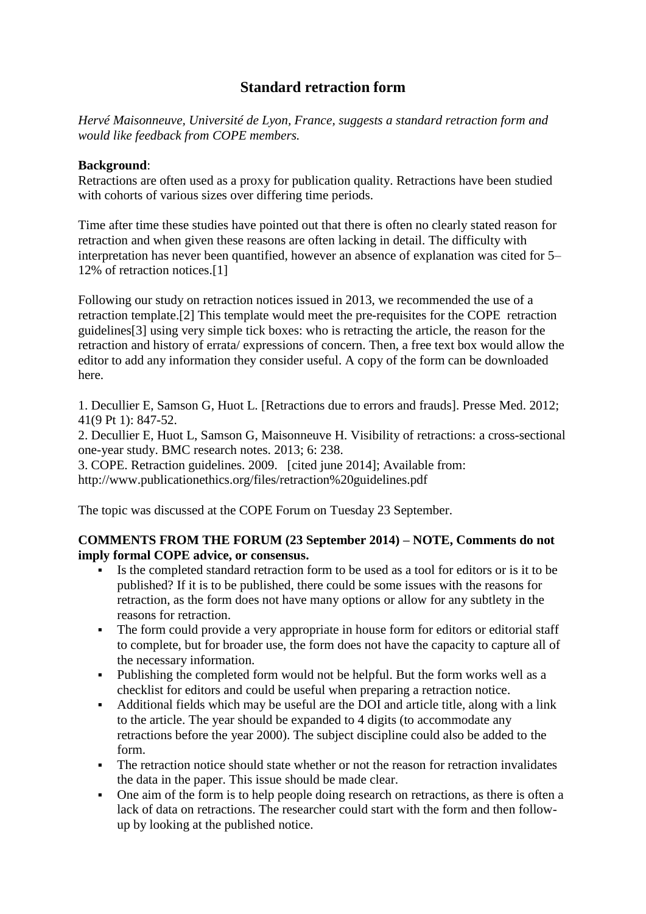# **Standard retraction form**

*Hervé Maisonneuve, Université de Lyon, France, suggests a standard retraction form and would like feedback from COPE members.*

## **Background**:

Retractions are often used as a proxy for publication quality. Retractions have been studied with cohorts of various sizes over differing time periods.

Time after time these studies have pointed out that there is often no clearly stated reason for retraction and when given these reasons are often lacking in detail. The difficulty with interpretation has never been quantified, however an absence of explanation was cited for 5– 12% of retraction notices.[1]

Following our study on retraction notices issued in 2013, we recommended the use of a retraction template.[2] This template would meet the pre-requisites for the COPE retraction guidelines[3] using very simple tick boxes: who is retracting the article, the reason for the retraction and history of errata/ expressions of concern. Then, a free text box would allow the editor to add any information they consider useful. A copy of the form can be downloaded here.

1. Decullier E, Samson G, Huot L. [Retractions due to errors and frauds]. Presse Med. 2012; 41(9 Pt 1): 847-52.

2. Decullier E, Huot L, Samson G, Maisonneuve H. Visibility of retractions: a cross-sectional one-year study. BMC research notes. 2013; 6: 238.

3. COPE. Retraction guidelines. 2009. [cited june 2014]; Available from: http://www.publicationethics.org/files/retraction%20guidelines.pdf

The topic was discussed at the COPE Forum on Tuesday 23 September.

## **COMMENTS FROM THE FORUM (23 September 2014) – NOTE, Comments do not imply formal COPE advice, or consensus.**

- Is the completed standard retraction form to be used as a tool for editors or is it to be published? If it is to be published, there could be some issues with the reasons for retraction, as the form does not have many options or allow for any subtlety in the reasons for retraction.
- The form could provide a very appropriate in house form for editors or editorial staff to complete, but for broader use, the form does not have the capacity to capture all of the necessary information.
- Publishing the completed form would not be helpful. But the form works well as a checklist for editors and could be useful when preparing a retraction notice.
- Additional fields which may be useful are the DOI and article title, along with a link to the article. The year should be expanded to 4 digits (to accommodate any retractions before the year 2000). The subject discipline could also be added to the form.
- The retraction notice should state whether or not the reason for retraction invalidates the data in the paper. This issue should be made clear.
- One aim of the form is to help people doing research on retractions, as there is often a lack of data on retractions. The researcher could start with the form and then followup by looking at the published notice.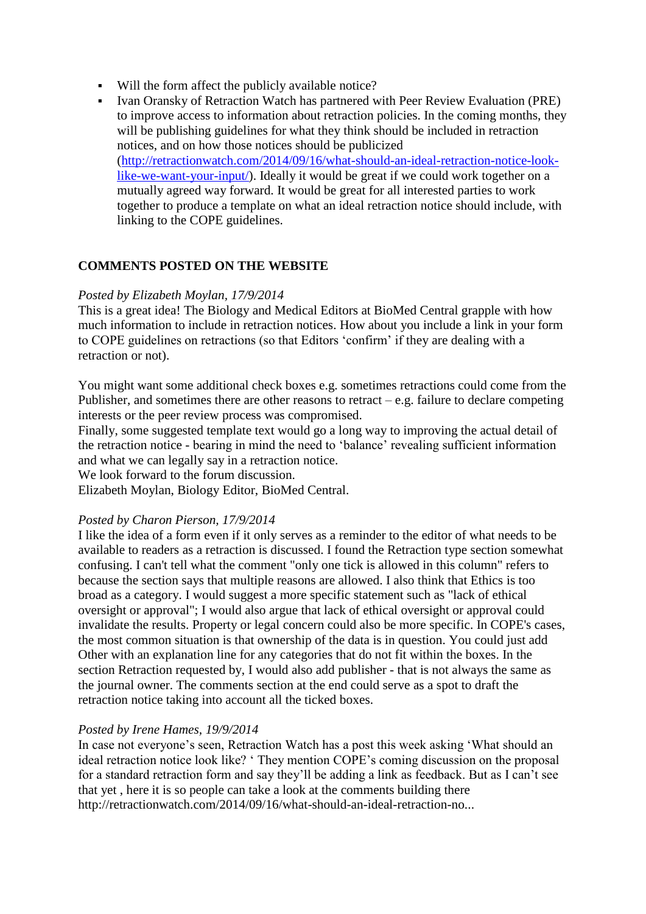- Will the form affect the publicly available notice?
- Ivan Oransky of Retraction Watch has partnered with Peer Review Evaluation (PRE) to improve access to information about retraction policies. In the coming months, they will be publishing guidelines for what they think should be included in retraction notices, and on how those notices should be publicized [\(http://retractionwatch.com/2014/09/16/what-should-an-ideal-retraction-notice-look](http://retractionwatch.com/2014/09/16/what-should-an-ideal-retraction-notice-look-like-we-want-your-input/)[like-we-want-your-input/\)](http://retractionwatch.com/2014/09/16/what-should-an-ideal-retraction-notice-look-like-we-want-your-input/). Ideally it would be great if we could work together on a mutually agreed way forward. It would be great for all interested parties to work together to produce a template on what an ideal retraction notice should include, with linking to the COPE guidelines.

## **COMMENTS POSTED ON THE WEBSITE**

### *Posted by Elizabeth Moylan, 17/9/2014*

This is a great idea! The Biology and Medical Editors at BioMed Central grapple with how much information to include in retraction notices. How about you include a link in your form to COPE guidelines on retractions (so that Editors 'confirm' if they are dealing with a retraction or not).

You might want some additional check boxes e.g. sometimes retractions could come from the Publisher, and sometimes there are other reasons to retract – e.g. failure to declare competing interests or the peer review process was compromised.

Finally, some suggested template text would go a long way to improving the actual detail of the retraction notice - bearing in mind the need to 'balance' revealing sufficient information and what we can legally say in a retraction notice.

We look forward to the forum discussion.

Elizabeth Moylan, Biology Editor, BioMed Central.

### *Posted by Charon Pierson, 17/9/2014*

I like the idea of a form even if it only serves as a reminder to the editor of what needs to be available to readers as a retraction is discussed. I found the Retraction type section somewhat confusing. I can't tell what the comment "only one tick is allowed in this column" refers to because the section says that multiple reasons are allowed. I also think that Ethics is too broad as a category. I would suggest a more specific statement such as "lack of ethical oversight or approval"; I would also argue that lack of ethical oversight or approval could invalidate the results. Property or legal concern could also be more specific. In COPE's cases, the most common situation is that ownership of the data is in question. You could just add Other with an explanation line for any categories that do not fit within the boxes. In the section Retraction requested by, I would also add publisher - that is not always the same as the journal owner. The comments section at the end could serve as a spot to draft the retraction notice taking into account all the ticked boxes.

### *Posted by Irene Hames, 19/9/2014*

In case not everyone's seen, Retraction Watch has a post this week asking 'What should an ideal retraction notice look like? ' They mention COPE's coming discussion on the proposal for a standard retraction form and say they'll be adding a link as feedback. But as I can't see that yet , here it is so people can take a look at the comments building there http://retractionwatch.com/2014/09/16/what-should-an-ideal-retraction-no...